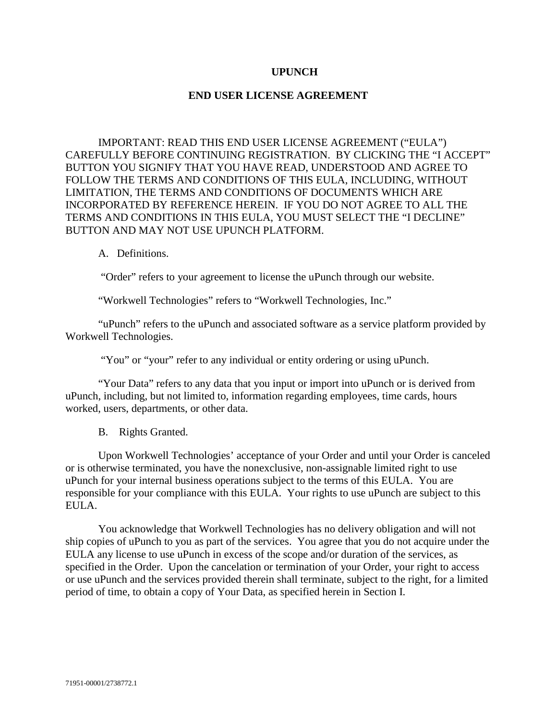# **UPUNCH**

## **END USER LICENSE AGREEMENT**

IMPORTANT: READ THIS END USER LICENSE AGREEMENT ("EULA") CAREFULLY BEFORE CONTINUING REGISTRATION. BY CLICKING THE "I ACCEPT" BUTTON YOU SIGNIFY THAT YOU HAVE READ, UNDERSTOOD AND AGREE TO FOLLOW THE TERMS AND CONDITIONS OF THIS EULA, INCLUDING, WITHOUT LIMITATION, THE TERMS AND CONDITIONS OF DOCUMENTS WHICH ARE INCORPORATED BY REFERENCE HEREIN. IF YOU DO NOT AGREE TO ALL THE TERMS AND CONDITIONS IN THIS EULA, YOU MUST SELECT THE "I DECLINE" BUTTON AND MAY NOT USE UPUNCH PLATFORM.

#### A. Definitions.

"Order" refers to your agreement to license the uPunch through our website.

"Workwell Technologies" refers to "Workwell Technologies, Inc."

"uPunch" refers to the uPunch and associated software as a service platform provided by Workwell Technologies.

"You" or "your" refer to any individual or entity ordering or using uPunch.

"Your Data" refers to any data that you input or import into uPunch or is derived from uPunch, including, but not limited to, information regarding employees, time cards, hours worked, users, departments, or other data.

B. Rights Granted.

Upon Workwell Technologies' acceptance of your Order and until your Order is canceled or is otherwise terminated, you have the nonexclusive, non-assignable limited right to use uPunch for your internal business operations subject to the terms of this EULA. You are responsible for your compliance with this EULA. Your rights to use uPunch are subject to this EULA.

You acknowledge that Workwell Technologies has no delivery obligation and will not ship copies of uPunch to you as part of the services. You agree that you do not acquire under the EULA any license to use uPunch in excess of the scope and/or duration of the services, as specified in the Order. Upon the cancelation or termination of your Order, your right to access or use uPunch and the services provided therein shall terminate, subject to the right, for a limited period of time, to obtain a copy of Your Data, as specified herein in Section I.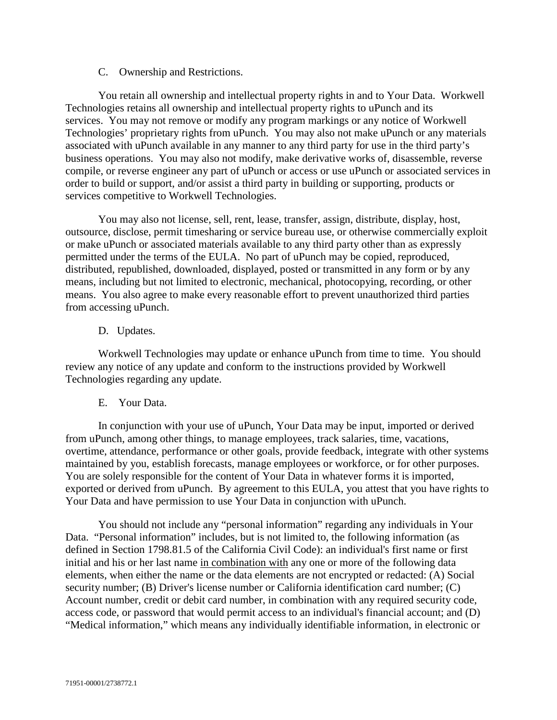## C. Ownership and Restrictions.

You retain all ownership and intellectual property rights in and to Your Data. Workwell Technologies retains all ownership and intellectual property rights to uPunch and its services. You may not remove or modify any program markings or any notice of Workwell Technologies' proprietary rights from uPunch. You may also not make uPunch or any materials associated with uPunch available in any manner to any third party for use in the third party's business operations. You may also not modify, make derivative works of, disassemble, reverse compile, or reverse engineer any part of uPunch or access or use uPunch or associated services in order to build or support, and/or assist a third party in building or supporting, products or services competitive to Workwell Technologies.

You may also not license, sell, rent, lease, transfer, assign, distribute, display, host, outsource, disclose, permit timesharing or service bureau use, or otherwise commercially exploit or make uPunch or associated materials available to any third party other than as expressly permitted under the terms of the EULA. No part of uPunch may be copied, reproduced, distributed, republished, downloaded, displayed, posted or transmitted in any form or by any means, including but not limited to electronic, mechanical, photocopying, recording, or other means. You also agree to make every reasonable effort to prevent unauthorized third parties from accessing uPunch.

# D. Updates.

Workwell Technologies may update or enhance uPunch from time to time. You should review any notice of any update and conform to the instructions provided by Workwell Technologies regarding any update.

#### E. Your Data.

In conjunction with your use of uPunch, Your Data may be input, imported or derived from uPunch, among other things, to manage employees, track salaries, time, vacations, overtime, attendance, performance or other goals, provide feedback, integrate with other systems maintained by you, establish forecasts, manage employees or workforce, or for other purposes. You are solely responsible for the content of Your Data in whatever forms it is imported, exported or derived from uPunch. By agreement to this EULA, you attest that you have rights to Your Data and have permission to use Your Data in conjunction with uPunch.

You should not include any "personal information" regarding any individuals in Your Data. "Personal information" includes, but is not limited to, the following information (as defined in Section 1798.81.5 of the California Civil Code): an individual's first name or first initial and his or her last name in combination with any one or more of the following data elements, when either the name or the data elements are not encrypted or redacted: (A) Social security number; (B) Driver's license number or California identification card number; (C) Account number, credit or debit card number, in combination with any required security code, access code, or password that would permit access to an individual's financial account; and (D) "Medical information," which means any individually identifiable information, in electronic or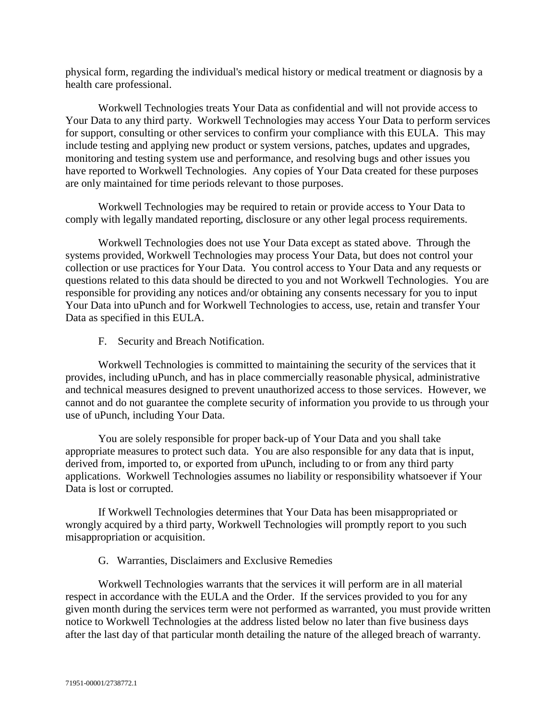physical form, regarding the individual's medical history or medical treatment or diagnosis by a health care professional.

Workwell Technologies treats Your Data as confidential and will not provide access to Your Data to any third party. Workwell Technologies may access Your Data to perform services for support, consulting or other services to confirm your compliance with this EULA. This may include testing and applying new product or system versions, patches, updates and upgrades, monitoring and testing system use and performance, and resolving bugs and other issues you have reported to Workwell Technologies. Any copies of Your Data created for these purposes are only maintained for time periods relevant to those purposes.

Workwell Technologies may be required to retain or provide access to Your Data to comply with legally mandated reporting, disclosure or any other legal process requirements.

Workwell Technologies does not use Your Data except as stated above. Through the systems provided, Workwell Technologies may process Your Data, but does not control your collection or use practices for Your Data. You control access to Your Data and any requests or questions related to this data should be directed to you and not Workwell Technologies. You are responsible for providing any notices and/or obtaining any consents necessary for you to input Your Data into uPunch and for Workwell Technologies to access, use, retain and transfer Your Data as specified in this EULA.

F. Security and Breach Notification.

Workwell Technologies is committed to maintaining the security of the services that it provides, including uPunch, and has in place commercially reasonable physical, administrative and technical measures designed to prevent unauthorized access to those services. However, we cannot and do not guarantee the complete security of information you provide to us through your use of uPunch, including Your Data.

You are solely responsible for proper back-up of Your Data and you shall take appropriate measures to protect such data. You are also responsible for any data that is input, derived from, imported to, or exported from uPunch, including to or from any third party applications. Workwell Technologies assumes no liability or responsibility whatsoever if Your Data is lost or corrupted.

If Workwell Technologies determines that Your Data has been misappropriated or wrongly acquired by a third party, Workwell Technologies will promptly report to you such misappropriation or acquisition.

G. Warranties, Disclaimers and Exclusive Remedies

Workwell Technologies warrants that the services it will perform are in all material respect in accordance with the EULA and the Order. If the services provided to you for any given month during the services term were not performed as warranted, you must provide written notice to Workwell Technologies at the address listed below no later than five business days after the last day of that particular month detailing the nature of the alleged breach of warranty.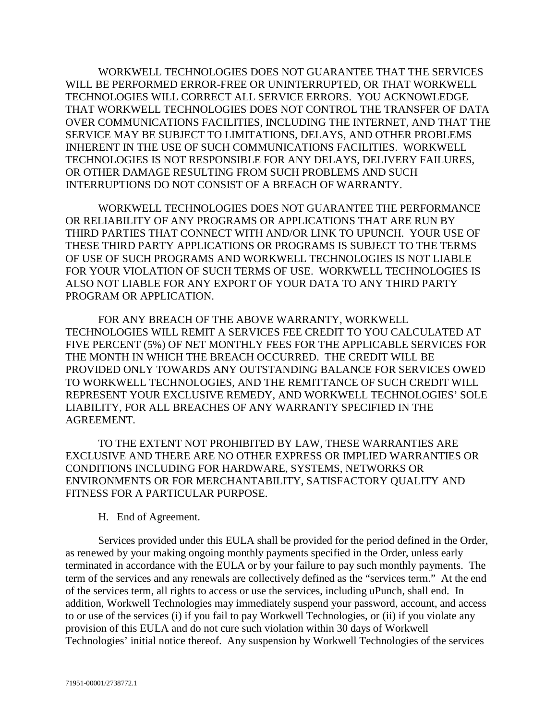WORKWELL TECHNOLOGIES DOES NOT GUARANTEE THAT THE SERVICES WILL BE PERFORMED ERROR-FREE OR UNINTERRUPTED, OR THAT WORKWELL TECHNOLOGIES WILL CORRECT ALL SERVICE ERRORS. YOU ACKNOWLEDGE THAT WORKWELL TECHNOLOGIES DOES NOT CONTROL THE TRANSFER OF DATA OVER COMMUNICATIONS FACILITIES, INCLUDING THE INTERNET, AND THAT THE SERVICE MAY BE SUBJECT TO LIMITATIONS, DELAYS, AND OTHER PROBLEMS INHERENT IN THE USE OF SUCH COMMUNICATIONS FACILITIES. WORKWELL TECHNOLOGIES IS NOT RESPONSIBLE FOR ANY DELAYS, DELIVERY FAILURES, OR OTHER DAMAGE RESULTING FROM SUCH PROBLEMS AND SUCH INTERRUPTIONS DO NOT CONSIST OF A BREACH OF WARRANTY.

WORKWELL TECHNOLOGIES DOES NOT GUARANTEE THE PERFORMANCE OR RELIABILITY OF ANY PROGRAMS OR APPLICATIONS THAT ARE RUN BY THIRD PARTIES THAT CONNECT WITH AND/OR LINK TO UPUNCH. YOUR USE OF THESE THIRD PARTY APPLICATIONS OR PROGRAMS IS SUBJECT TO THE TERMS OF USE OF SUCH PROGRAMS AND WORKWELL TECHNOLOGIES IS NOT LIABLE FOR YOUR VIOLATION OF SUCH TERMS OF USE. WORKWELL TECHNOLOGIES IS ALSO NOT LIABLE FOR ANY EXPORT OF YOUR DATA TO ANY THIRD PARTY PROGRAM OR APPLICATION.

FOR ANY BREACH OF THE ABOVE WARRANTY, WORKWELL TECHNOLOGIES WILL REMIT A SERVICES FEE CREDIT TO YOU CALCULATED AT FIVE PERCENT (5%) OF NET MONTHLY FEES FOR THE APPLICABLE SERVICES FOR THE MONTH IN WHICH THE BREACH OCCURRED. THE CREDIT WILL BE PROVIDED ONLY TOWARDS ANY OUTSTANDING BALANCE FOR SERVICES OWED TO WORKWELL TECHNOLOGIES, AND THE REMITTANCE OF SUCH CREDIT WILL REPRESENT YOUR EXCLUSIVE REMEDY, AND WORKWELL TECHNOLOGIES' SOLE LIABILITY, FOR ALL BREACHES OF ANY WARRANTY SPECIFIED IN THE AGREEMENT.

TO THE EXTENT NOT PROHIBITED BY LAW, THESE WARRANTIES ARE EXCLUSIVE AND THERE ARE NO OTHER EXPRESS OR IMPLIED WARRANTIES OR CONDITIONS INCLUDING FOR HARDWARE, SYSTEMS, NETWORKS OR ENVIRONMENTS OR FOR MERCHANTABILITY, SATISFACTORY QUALITY AND FITNESS FOR A PARTICULAR PURPOSE.

## H. End of Agreement.

Services provided under this EULA shall be provided for the period defined in the Order, as renewed by your making ongoing monthly payments specified in the Order, unless early terminated in accordance with the EULA or by your failure to pay such monthly payments. The term of the services and any renewals are collectively defined as the "services term." At the end of the services term, all rights to access or use the services, including uPunch, shall end. In addition, Workwell Technologies may immediately suspend your password, account, and access to or use of the services (i) if you fail to pay Workwell Technologies, or (ii) if you violate any provision of this EULA and do not cure such violation within 30 days of Workwell Technologies' initial notice thereof. Any suspension by Workwell Technologies of the services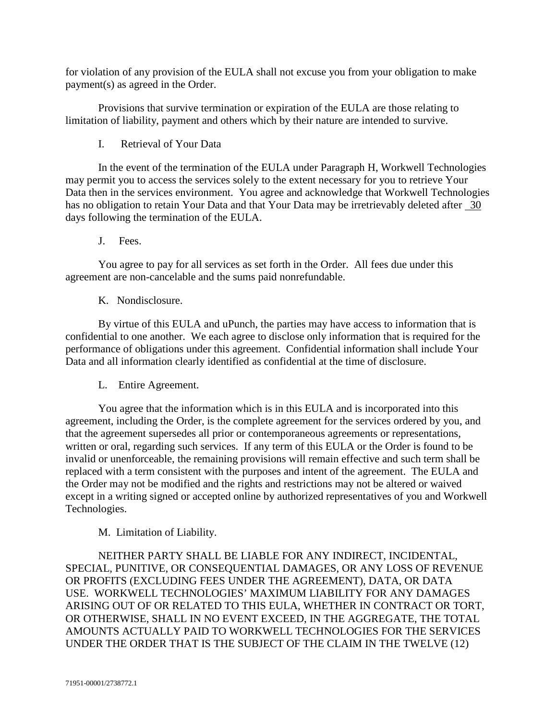for violation of any provision of the EULA shall not excuse you from your obligation to make payment(s) as agreed in the Order.

Provisions that survive termination or expiration of the EULA are those relating to limitation of liability, payment and others which by their nature are intended to survive.

I. Retrieval of Your Data

In the event of the termination of the EULA under Paragraph H, Workwell Technologies may permit you to access the services solely to the extent necessary for you to retrieve Your Data then in the services environment. You agree and acknowledge that Workwell Technologies has no obligation to retain Your Data and that Your Data may be irretrievably deleted after 30 days following the termination of the EULA.

J. Fees.

You agree to pay for all services as set forth in the Order. All fees due under this agreement are non-cancelable and the sums paid nonrefundable.

K. Nondisclosure.

By virtue of this EULA and uPunch, the parties may have access to information that is confidential to one another. We each agree to disclose only information that is required for the performance of obligations under this agreement. Confidential information shall include Your Data and all information clearly identified as confidential at the time of disclosure.

L. Entire Agreement.

You agree that the information which is in this EULA and is incorporated into this agreement, including the Order, is the complete agreement for the services ordered by you, and that the agreement supersedes all prior or contemporaneous agreements or representations, written or oral, regarding such services. If any term of this EULA or the Order is found to be invalid or unenforceable, the remaining provisions will remain effective and such term shall be replaced with a term consistent with the purposes and intent of the agreement. The EULA and the Order may not be modified and the rights and restrictions may not be altered or waived except in a writing signed or accepted online by authorized representatives of you and Workwell Technologies.

M. Limitation of Liability.

NEITHER PARTY SHALL BE LIABLE FOR ANY INDIRECT, INCIDENTAL, SPECIAL, PUNITIVE, OR CONSEQUENTIAL DAMAGES, OR ANY LOSS OF REVENUE OR PROFITS (EXCLUDING FEES UNDER THE AGREEMENT), DATA, OR DATA USE. WORKWELL TECHNOLOGIES' MAXIMUM LIABILITY FOR ANY DAMAGES ARISING OUT OF OR RELATED TO THIS EULA, WHETHER IN CONTRACT OR TORT, OR OTHERWISE, SHALL IN NO EVENT EXCEED, IN THE AGGREGATE, THE TOTAL AMOUNTS ACTUALLY PAID TO WORKWELL TECHNOLOGIES FOR THE SERVICES UNDER THE ORDER THAT IS THE SUBJECT OF THE CLAIM IN THE TWELVE (12)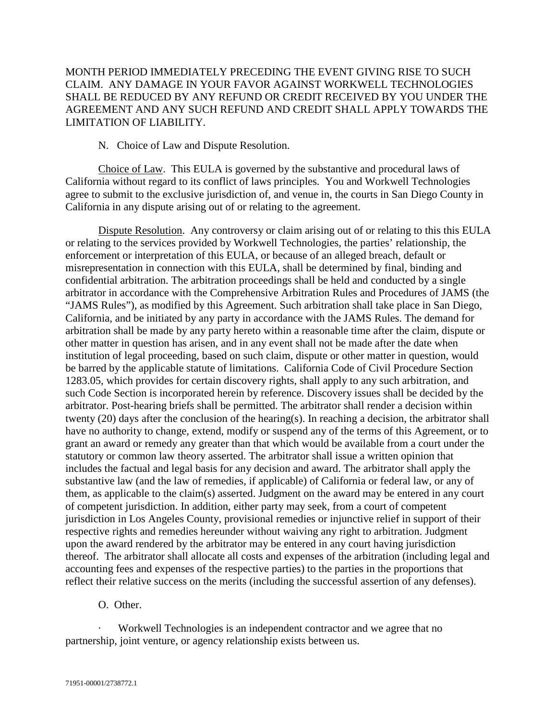# MONTH PERIOD IMMEDIATELY PRECEDING THE EVENT GIVING RISE TO SUCH CLAIM. ANY DAMAGE IN YOUR FAVOR AGAINST WORKWELL TECHNOLOGIES SHALL BE REDUCED BY ANY REFUND OR CREDIT RECEIVED BY YOU UNDER THE AGREEMENT AND ANY SUCH REFUND AND CREDIT SHALL APPLY TOWARDS THE LIMITATION OF LIABILITY.

N. Choice of Law and Dispute Resolution.

Choice of Law. This EULA is governed by the substantive and procedural laws of California without regard to its conflict of laws principles. You and Workwell Technologies agree to submit to the exclusive jurisdiction of, and venue in, the courts in San Diego County in California in any dispute arising out of or relating to the agreement.

Dispute Resolution. Any controversy or claim arising out of or relating to this this EULA or relating to the services provided by Workwell Technologies, the parties' relationship, the enforcement or interpretation of this EULA, or because of an alleged breach, default or misrepresentation in connection with this EULA, shall be determined by final, binding and confidential arbitration. The arbitration proceedings shall be held and conducted by a single arbitrator in accordance with the Comprehensive Arbitration Rules and Procedures of JAMS (the "JAMS Rules"), as modified by this Agreement. Such arbitration shall take place in San Diego, California, and be initiated by any party in accordance with the JAMS Rules. The demand for arbitration shall be made by any party hereto within a reasonable time after the claim, dispute or other matter in question has arisen, and in any event shall not be made after the date when institution of legal proceeding, based on such claim, dispute or other matter in question, would be barred by the applicable statute of limitations. California Code of Civil Procedure Section 1283.05, which provides for certain discovery rights, shall apply to any such arbitration, and such Code Section is incorporated herein by reference. Discovery issues shall be decided by the arbitrator. Post-hearing briefs shall be permitted. The arbitrator shall render a decision within twenty (20) days after the conclusion of the hearing(s). In reaching a decision, the arbitrator shall have no authority to change, extend, modify or suspend any of the terms of this Agreement, or to grant an award or remedy any greater than that which would be available from a court under the statutory or common law theory asserted. The arbitrator shall issue a written opinion that includes the factual and legal basis for any decision and award. The arbitrator shall apply the substantive law (and the law of remedies, if applicable) of California or federal law, or any of them, as applicable to the claim(s) asserted. Judgment on the award may be entered in any court of competent jurisdiction. In addition, either party may seek, from a court of competent jurisdiction in Los Angeles County, provisional remedies or injunctive relief in support of their respective rights and remedies hereunder without waiving any right to arbitration. Judgment upon the award rendered by the arbitrator may be entered in any court having jurisdiction thereof. The arbitrator shall allocate all costs and expenses of the arbitration (including legal and accounting fees and expenses of the respective parties) to the parties in the proportions that reflect their relative success on the merits (including the successful assertion of any defenses).

O. Other.

Workwell Technologies is an independent contractor and we agree that no partnership, joint venture, or agency relationship exists between us.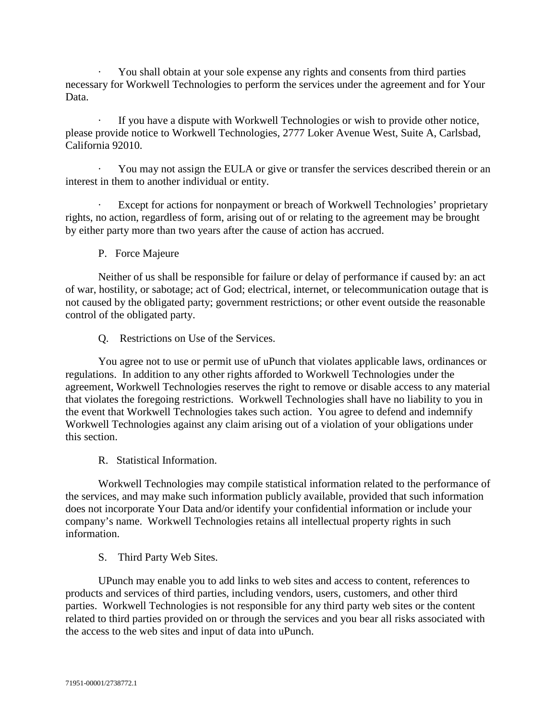· You shall obtain at your sole expense any rights and consents from third parties necessary for Workwell Technologies to perform the services under the agreement and for Your Data.

If you have a dispute with Workwell Technologies or wish to provide other notice, please provide notice to Workwell Technologies, 2777 Loker Avenue West, Suite A, Carlsbad, California 92010.

You may not assign the EULA or give or transfer the services described therein or an interest in them to another individual or entity.

Except for actions for nonpayment or breach of Workwell Technologies' proprietary rights, no action, regardless of form, arising out of or relating to the agreement may be brought by either party more than two years after the cause of action has accrued.

P. Force Majeure

Neither of us shall be responsible for failure or delay of performance if caused by: an act of war, hostility, or sabotage; act of God; electrical, internet, or telecommunication outage that is not caused by the obligated party; government restrictions; or other event outside the reasonable control of the obligated party.

Q. Restrictions on Use of the Services.

You agree not to use or permit use of uPunch that violates applicable laws, ordinances or regulations. In addition to any other rights afforded to Workwell Technologies under the agreement, Workwell Technologies reserves the right to remove or disable access to any material that violates the foregoing restrictions. Workwell Technologies shall have no liability to you in the event that Workwell Technologies takes such action. You agree to defend and indemnify Workwell Technologies against any claim arising out of a violation of your obligations under this section.

R. Statistical Information.

Workwell Technologies may compile statistical information related to the performance of the services, and may make such information publicly available, provided that such information does not incorporate Your Data and/or identify your confidential information or include your company's name. Workwell Technologies retains all intellectual property rights in such information.

S. Third Party Web Sites.

UPunch may enable you to add links to web sites and access to content, references to products and services of third parties, including vendors, users, customers, and other third parties. Workwell Technologies is not responsible for any third party web sites or the content related to third parties provided on or through the services and you bear all risks associated with the access to the web sites and input of data into uPunch.